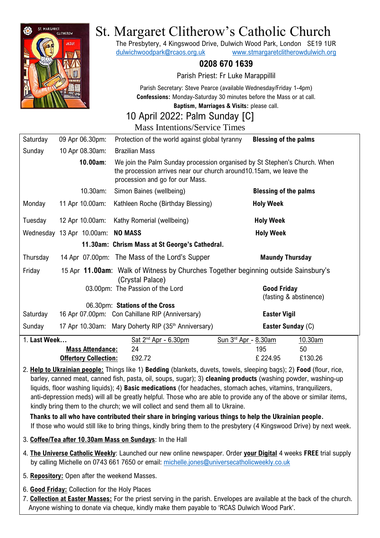

# St. Margaret Clitherow's Catholic Church

The Presbytery, 4 Kingswood Drive, Dulwich Wood Park, London SE19 1UR [dulwichwoodpark@rcaos.org.uk](mailto:dulwichwoodpark@rcaos.org.uk) [www.stmargaretclitherowdulwich.org](http://www.stmargaretclitherowdulwich.org/)

## **0208 670 1639**

Parish Priest: Fr Luke Marappillil

Parish Secretary: Steve Pearce (available Wednesday/Friday 1-4pm) **Confessions:** Monday-Saturday 30 minutes before the Mass or at call.

**Baptism, Marriages & Visits:** please call.

## 10 April 2022: Palm Sunday [C]

Mass Intentions/Service Times Saturday 09 Apr 06.30pm: Protection of the world against global tyranny **Blessing of the palms** Sunday 10 Apr 08.30am: Brazilian Mass  **10.00am**: We join the Palm Sunday procession organised by St Stephen's Church. When the procession arrives near our church around10.15am, we leave the procession and go for our Mass. 10.30am: Simon Baines (wellbeing) **Blessing of the palms** Monday 11 Apr 10.00am: Kathleen Roche (Birthday Blessing) **Holy Week** Tuesday 12 Apr 10.00am: Kathy Romerial (wellbeing) **Holy Week**

Wednesday 13 Apr 10.00am: **NO MASS Holy Week Holy Week 11.30am: Chrism Mass at St George's Cathedral.**  Thursday 14 Apr 07.00pm: The Mass of the Lord's Supper **Maundy Thursday** Friday 15 Apr **11.00am**: Walk of Witness by Churches Together beginning outside Sainsbury's (Crystal Palace) 03.00pm: The Passion of the Lord **Good Friday** 

(fasting & abstinence) 06.30pm: **Stations of the Cross** Saturday 16 Apr 07.00pm: Con Cahillane RIP (Anniversary) **Easter Vigil** Sunday 17 Apr 10.30am: Mary Doherty RIP (35<sup>th</sup> Anniversary) **Easter Sunday** (C) 1. **Last Week**... Sat  $2^{nd}$  Apr - 6.30pm  $Sun 3<sup>rd</sup>$  Apr - 8.30am 10.30am **Mass Attendance:** 24 195 50 **Offertory Collection:** £92.72 £ 224.95£130.26

2. **Help to Ukrainian people:** Things like 1) **Bedding** (blankets, duvets, towels, sleeping bags); 2) **Food** (flour, rice, barley, canned meat, canned fish, pasta, oil, soups, sugar); 3) **cleaning products** (washing powder, washing-up liquids, floor washing liquids); 4) **Basic medications** (for headaches, stomach aches, vitamins, tranquilizers, anti-depression meds) will all be greatly helpful. Those who are able to provide any of the above or similar items, kindly bring them to the church; we will collect and send them all to Ukraine.

 **Thanks to all who have contributed their share in bringing various things to help the Ukrainian people.** If those who would still like to bring things, kindly bring them to the presbytery (4 Kingswood Drive) by next week.

- 3. **Coffee/Tea after 10.30am Mass on Sundays**: In the Hall
- 4. **The Universe Catholic Weekly**: Launched our new online newspaper. Order **your Digital** 4 weeks **FREE** trial supply by calling Michelle on 0743 661 7650 or email: [michelle.jones@universecatholicweekly.co.uk](mailto:michelle.jones@universecatholicweekly.co.uk)
- 5. **Repository:** Open after the weekend Masses.
- 6. **Good Friday:** Collection for the Holy Places
- 7. **Collection at Easter Masses:** For the priest serving in the parish. Envelopes are available at the back of the church. Anyone wishing to donate via cheque, kindly make them payable to 'RCAS Dulwich Wood Park'.